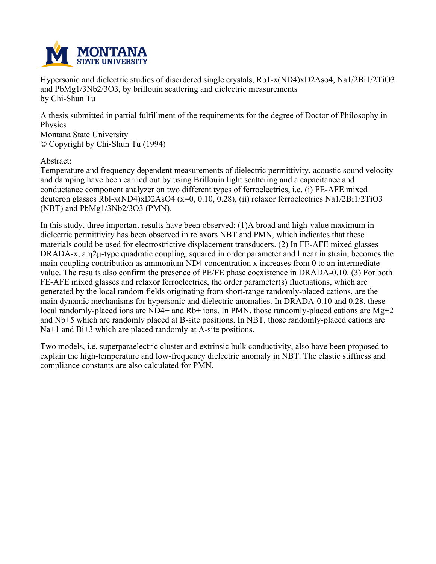

**Hypersonic and dielectric studies of disordered single crystals, Rb1-x(ND4)xD2Aso4, Na1/2Bi1/2TiO3 and PbMg1/3Nb2/3O3, by brillouin scattering and dielectric measurements by Chi-Shun Tu**

**A thesis submitted in partial fulfillment of the requirements for the degree of Doctor of Philosophy in Physics**

**Montana State University © Copyright by Chi-Shun Tu (1994)**

**Abstract:**

**Temperature and frequency dependent measurements of dielectric permittivity, acoustic sound velocity and damping have been carried out by using Brillouin light scattering and a capacitance and conductance component analyzer on two different types of ferroelectrics, i.e. (i) FE-AFE mixed deuteron glasses Rbl-x(ND4)xD2AsO4 (x=0, 0.10, 0.28), (ii) relaxor ferroelectrics Na1/2Bi1/2TiO3 (NBT) and PbMg1/3Nb2/3O3 (PMN).**

**In this study, three important results have been observed: (1)A broad and high-value maximum in dielectric permittivity has been observed in relaxors NBT and PMN, which indicates that these materials could be used for electrostrictive displacement transducers. (2) In FE-AFE mixed glasses DRADA-x, a η2μ-type quadratic coupling, squared in order parameter and linear in strain, becomes the main coupling contribution as ammonium ND4 concentration x increases from 0 to an intermediate value. The results also confirm the presence of PE/FE phase coexistence in DRADA-0.10. (3) For both FE-AFE mixed glasses and relaxor ferroelectrics, the order parameter(s) fluctuations, which are generated by the local random fields originating from short-range randomly-placed cations, are the main dynamic mechanisms for hypersonic and dielectric anomalies. In DRADA-0.10 and 0.28, these local randomly-placed ions are ND4+ and Rb+ ions. In PMN, those randomly-placed cations are Mg+2 and Nb+5 which are randomly placed at B-site positions. In NBT, those randomly-placed cations are Na+1 and Bi+3 which are placed randomly at A-site positions.**

**Two models, i.e. superparaelectric cluster and extrinsic bulk conductivity, also have been proposed to explain the high-temperature and low-frequency dielectric anomaly in NBT. The elastic stiffness and compliance constants are also calculated for PMN.**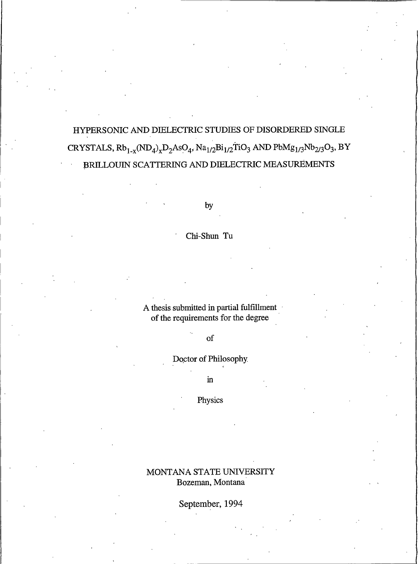# HYPERSONIC AND DIELECTRIC STUDIES OF DISORDERED SINGLE CRYSTALS,  $Rb_{1-x} (ND_4)_x D_2 AsO_4$ ,  $Na_{1/2}Bi_{1/2}TiO_3$  AND  $PbMg_{1/3}Nb_{2/3}O_3$ , BY BRILLOUIN SCATTERING AND DIELECTRIC MEASUREMENTS

by

Chi-Shun Tu

A thesis submitted in partial fulfillment of the requirements for the degree

 $of$ 

Doctor of Philosophy.

 $\operatorname{in}$ 

Physics

MONTANA STATE UNIVERSITY Bozeman, Montana

September, 1994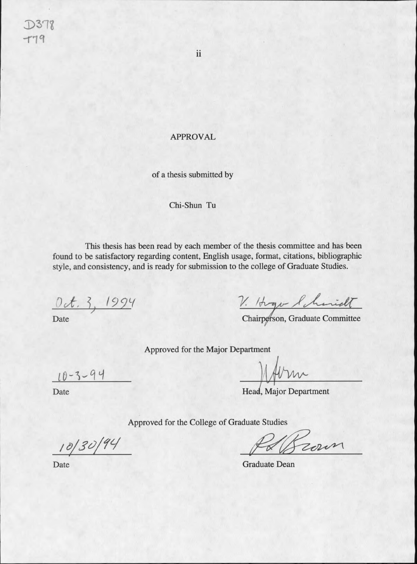### **APPROVAL**

of a thesis submitted by

#### Chi-Shun Tu

This thesis has been read by each member of the thesis committee and has been found to be satisfactory regarding content, English usage, format, citations, bibliographic style, and consistency, and is ready for submission to the college of Graduate Studies.

Oct. 3, 1994

Date

V. Hogo Schmidt

Approved for the Major Department

Head, Major Department

Approved for the College of Graduate Studies

Hown

Date

**Graduate Dean** 

Date

 $10 - 3 - 94$ 

 $10/30/94$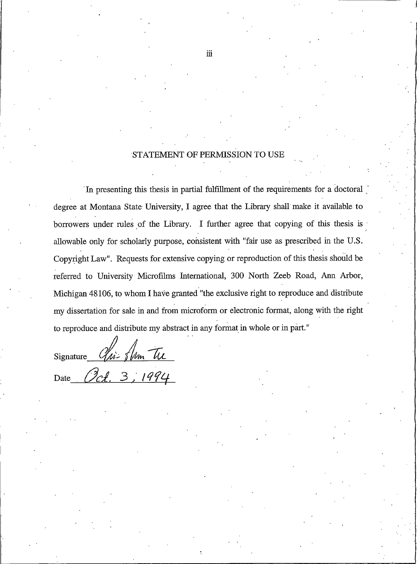### STATEMENT OF PERMISSION TO USE

In presenting this thesis in partial fulfillment of the requirements for a doctoral degree at Montana State University, I agree that the Library shall make it available to borrowers under rules of the Library. I further agree that copying of this thesis is allowable only for scholarly purpose, consistent with "fair use as prescribed in the U.S. Copyright Law". Requests for extensive copying or reproduction of this thesis should be referred to University Microfilms International, 300 North Zeeb Road, Ann Arbor, Michigan 48106, to whom I have granted "the exclusive right to reproduce and distribute my dissertation for sale in and from microform or electronic format, along with the right to reproduce and distribute my abstract in any format in whole or in part."

Chi- Shm Tre Signature

Ict. 3, 1994 Date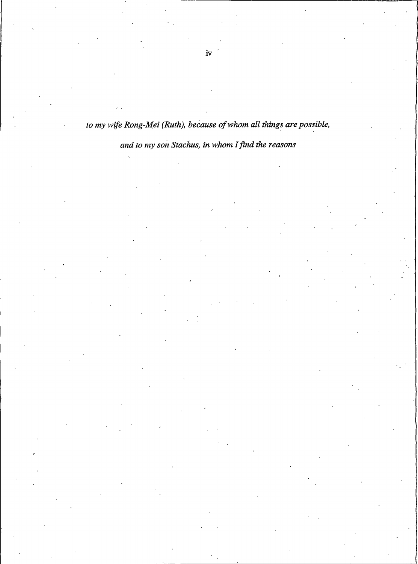# to my wife Rong-Mei (Ruth), because of whom all things are possible,

# and to my son Stachus, in whom I find the reasons

 $iv$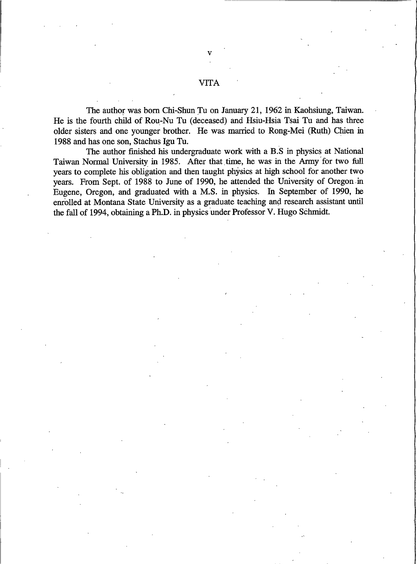### **VITA**

The author was born Chi-Shun Tu on January 21, 1962 in Kaohsiung, Taiwan. He is the fourth child of Rou-Nu Tu (deceased) and Hsiu-Hsia Tsai Tu and has three older sisters and one younger brother. He was married to Rong-Mei (Ruth) Chien in 1988 and has one son, Stachus Igu Tu.

The author finished his undergraduate work with a B.S in physics at National Taiwan Normal University in 1985. After that time, he was in the Army for two full years to complete his obligation and then taught physics at high school for another two years. From Sept. of 1988 to June of 1990, he attended the University of Oregon in Eugene, Oregon, and graduated with a M.S. in physics. In September of 1990, he enrolled at Montana State University as a graduate teaching and research assistant until the fall of 1994, obtaining a Ph.D. in physics under Professor V. Hugo Schmidt.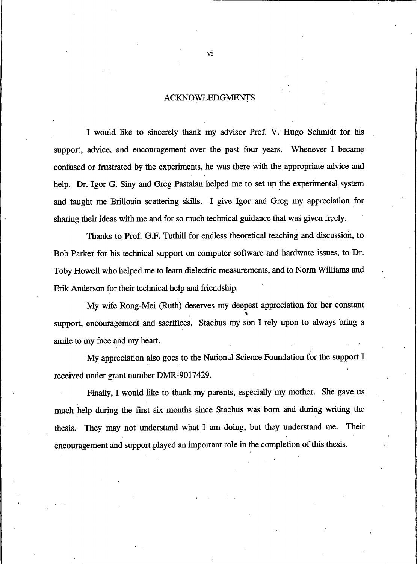### **ACKNOWLEDGMENTS**

I would like to sincerely thank my advisor Prof. V. Hugo Schmidt for his support, advice, and encouragement over the past four years. Whenever I became confused or frustrated by the experiments, he was there with the appropriate advice and help. Dr. Igor G. Siny and Greg Pastalan helped me to set up the experimental system and taught me Brillouin scattering skills. I give Igor and Greg my appreciation for sharing their ideas with me and for so much technical guidance that was given freely.

Thanks to Prof. G.F. Tuthill for endless theoretical teaching and discussion, to Bob Parker for his technical support on computer software and hardware issues, to Dr. Toby Howell who helped me to learn dielectric measurements, and to Norm Williams and Erik Anderson for their technical help and friendship.

My wife Rong-Mei (Ruth) deserves my deepest appreciation for her constant support, encouragement and sacrifices. Stachus my son I rely upon to always bring a smile to my face and my heart.

My appreciation also goes to the National Science Foundation for the support I received under grant number DMR-9017429.

Finally, I would like to thank my parents, especially my mother. She gave us much help during the first six months since Stachus was born and during writing the thesis. They may not understand what I am doing, but they understand me. Their encouragement and support played an important role in the completion of this thesis.

vi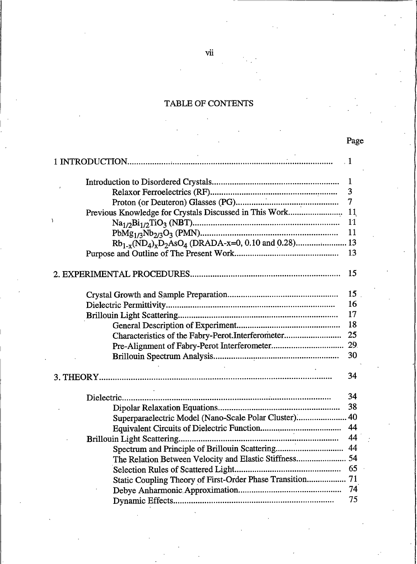## TABLE OF CONTENTS

| $\cdot$ 1                                                 |                |
|-----------------------------------------------------------|----------------|
|                                                           | $\mathbf{1}$   |
|                                                           | 3              |
|                                                           | $\overline{7}$ |
| Previous Knowledge for Crystals Discussed in This Work    | 11             |
|                                                           | 11             |
|                                                           | 11             |
|                                                           |                |
|                                                           | 13             |
|                                                           | 15             |
|                                                           | 15             |
|                                                           | 16             |
|                                                           | 17             |
|                                                           | 18             |
| Characteristics of the Fabry-Perot.Interferometer         | 25             |
|                                                           |                |
|                                                           | 30             |
|                                                           | 34             |
|                                                           | 34             |
|                                                           | 38             |
| Superparaelectric Model (Nano-Scale Polar Cluster)        | 40             |
|                                                           | 44             |
|                                                           | 44             |
| Spectrum and Principle of Brillouin Scattering            | 44             |
| The Relation Between Velocity and Elastic Stiffness 54    |                |
|                                                           | 65             |
| Static Coupling Theory of First-Order Phase Transition 71 |                |
|                                                           | 74             |
|                                                           | 75             |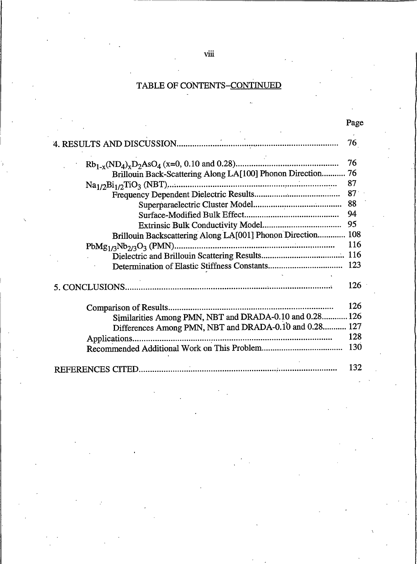# TABLE OF CONTENTS-CONTINUED

|                                                          | Page |
|----------------------------------------------------------|------|
|                                                          | 76   |
|                                                          | 76   |
| Brillouin Back-Scattering Along LA[100] Phonon Direction | 76   |
|                                                          | 87   |
|                                                          | 87   |
|                                                          | 88   |
|                                                          | 94   |
|                                                          | 95   |
| Brillouin Backscattering Along LA[001] Phonon Direction  | 108  |
|                                                          | 116  |
|                                                          |      |
|                                                          | 123  |
|                                                          | 126  |
| Comparison of Results                                    | 126  |
| Similarities Among PMN, NBT and DRADA-0.10 and 0.28 126  |      |
| Differences Among PMN, NBT and DRADA-0.10 and 0.28 127   |      |
| Applications                                             | 128  |
|                                                          | 130  |
|                                                          | 132  |

 $viii$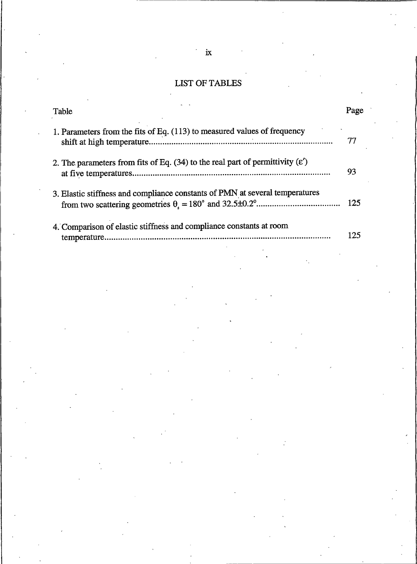# LIST OF TABLES

| Table                                                                                    | Page |
|------------------------------------------------------------------------------------------|------|
| 1. Parameters from the fits of Eq. (113) to measured values of frequency                 | 77   |
| 2. The parameters from fits of Eq. $(34)$ to the real part of permittivity $(\epsilon')$ | 93   |
| 3. Elastic stiffness and compliance constants of PMN at several temperatures             | -125 |
| 4. Comparison of elastic stiffness and compliance constants at room<br>tamnaratura       | 25   |

 $\hat{\mathcal{E}}$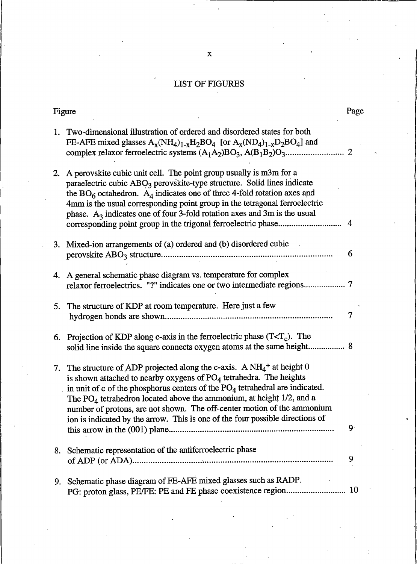## **LIST OF FIGURES**

|    | Figure                                                                                                                                                                                                                                                                                                                                                                                                                                                                                           | Page           |
|----|--------------------------------------------------------------------------------------------------------------------------------------------------------------------------------------------------------------------------------------------------------------------------------------------------------------------------------------------------------------------------------------------------------------------------------------------------------------------------------------------------|----------------|
|    | 1. Two-dimensional illustration of ordered and disordered states for both<br>FE-AFE mixed glasses $A_x(NH_4)_{1-x}H_2BO_4$ [or $A_x(ND_4)_{1-x}D_2BO_4$ ] and                                                                                                                                                                                                                                                                                                                                    | $\overline{2}$ |
| 2. | A perovskite cubic unit cell. The point group usually is m3m for a<br>paraelectric cubic ABO <sub>3</sub> perovskite-type structure. Solid lines indicate<br>the $BO6$ octahedron. $A4$ indicates one of three 4-fold rotation axes and<br>4mm is the usual corresponding point group in the tetragonal ferroelectric<br>phase. $A_3$ indicates one of four 3-fold rotation axes and 3m is the usual                                                                                             | 4              |
| 3. | Mixed-ion arrangements of (a) ordered and (b) disordered cubic                                                                                                                                                                                                                                                                                                                                                                                                                                   | 6              |
| 4. | A general schematic phase diagram vs. temperature for complex                                                                                                                                                                                                                                                                                                                                                                                                                                    |                |
| 5. | The structure of KDP at room temperature. Here just a few                                                                                                                                                                                                                                                                                                                                                                                                                                        | 7              |
| 6. | Projection of KDP along c-axis in the ferroelectric phase $(T< T_c)$ . The                                                                                                                                                                                                                                                                                                                                                                                                                       |                |
|    | 7. The structure of ADP projected along the c-axis. A $NH_4$ <sup>+</sup> at height 0<br>is shown attached to nearby oxygens of $PO4$ tetrahedra. The heights<br>in unit of c of the phosphorus centers of the PO <sub>4</sub> tetrahedral are indicated.<br>The $PO_4$ tetrahedron located above the ammonium, at height 1/2, and a<br>number of protons, are not shown. The off-center motion of the ammonium<br>ion is indicated by the arrow. This is one of the four possible directions of | $9 -$          |
|    | 8. Schematic representation of the antiferroelectric phase                                                                                                                                                                                                                                                                                                                                                                                                                                       | 9              |
| 9. | Schematic phase diagram of FE-AFE mixed glasses such as RADP.                                                                                                                                                                                                                                                                                                                                                                                                                                    |                |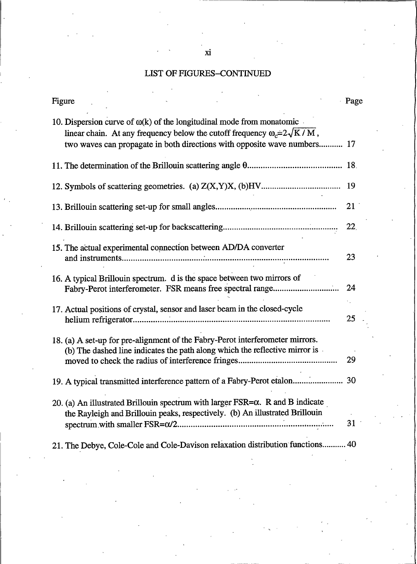# LIST OF FIGURES-CONTINUED

 $\ddot{\phantom{a}}$ 

| Figure                                                                                                                                                                  | Page |
|-------------------------------------------------------------------------------------------------------------------------------------------------------------------------|------|
| 10. Dispersion curve of $\omega(k)$ of the longitudinal mode from monatomic<br>linear chain. At any frequency below the cutoff frequency $\omega = 2\sqrt{K/M}$ ,       |      |
| two waves can propagate in both directions with opposite wave numbers 17                                                                                                |      |
|                                                                                                                                                                         |      |
|                                                                                                                                                                         | 19   |
|                                                                                                                                                                         | 21   |
|                                                                                                                                                                         | 22   |
| 15. The actual experimental connection between AD/DA converter                                                                                                          | 23   |
| 16. A typical Brillouin spectrum. d is the space between two mirrors of                                                                                                 | 24   |
| 17. Actual positions of crystal, sensor and laser beam in the closed-cycle                                                                                              | 25   |
| 18. (a) A set-up for pre-alignment of the Fabry-Perot interferometer mirrors.<br>(b) The dashed line indicates the path along which the reflective mirror is            |      |
|                                                                                                                                                                         | 29   |
| 19. A typical transmitted interference pattern of a Fabry-Perot etalon 30                                                                                               |      |
| 20. (a) An illustrated Brillouin spectrum with larger $FSR = \alpha$ . R and B indicate<br>the Rayleigh and Brillouin peaks, respectively. (b) An illustrated Brillouin | 31   |
| 21. The Debye, Cole-Cole and Cole-Davison relaxation distribution functions 40                                                                                          |      |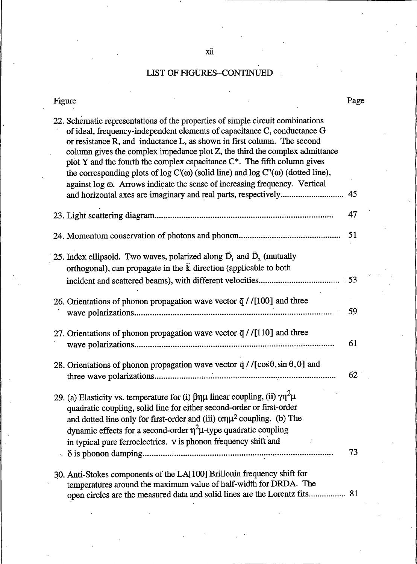| Figure                                                                                                                                                                                                                                                                                                                                                                                                                                                                                                                                                                                      | Page |
|---------------------------------------------------------------------------------------------------------------------------------------------------------------------------------------------------------------------------------------------------------------------------------------------------------------------------------------------------------------------------------------------------------------------------------------------------------------------------------------------------------------------------------------------------------------------------------------------|------|
| 22. Schematic representations of the properties of simple circuit combinations<br>of ideal, frequency-independent elements of capacitance C, conductance G<br>or resistance R, and inductance L, as shown in first column. The second<br>column gives the complex impedance plot Z, the third the complex admittance<br>plot Y and the fourth the complex capacitance $C^*$ . The fifth column gives<br>the corresponding plots of log $C'(\omega)$ (solid line) and log $C''(\omega)$ (dotted line),<br>against log $\omega$ . Arrows indicate the sense of increasing frequency. Vertical | 45   |
|                                                                                                                                                                                                                                                                                                                                                                                                                                                                                                                                                                                             | 47   |
|                                                                                                                                                                                                                                                                                                                                                                                                                                                                                                                                                                                             | 51   |
| 25. Index ellipsoid. Two waves, polarized along $\bar{D}_1$ and $\bar{D}_2$ (mutually<br>orthogonal), can propagate in the $\bar{k}$ direction (applicable to both                                                                                                                                                                                                                                                                                                                                                                                                                          |      |
| 26. Orientations of phonon propagation wave vector $\vec{q}$ / [100] and three                                                                                                                                                                                                                                                                                                                                                                                                                                                                                                              |      |
|                                                                                                                                                                                                                                                                                                                                                                                                                                                                                                                                                                                             | 59   |
| 27. Orientations of phonon propagation wave vector $\vec{q}$ / [110] and three                                                                                                                                                                                                                                                                                                                                                                                                                                                                                                              | 61   |
| 28. Orientations of phonon propagation wave vector $\vec{q}$ / /[cos $\theta$ , sin $\theta$ , 0] and                                                                                                                                                                                                                                                                                                                                                                                                                                                                                       | 62   |
| 29. (a) Elasticity vs. temperature for (i) $\beta \eta \mu$ linear coupling, (ii) $\gamma \eta^2 \mu$<br>quadratic coupling, solid line for either second-order or first-order<br>and dotted line only for first-order and (iii) $\alpha \eta \mu^2$ coupling. (b) The<br>dynamic effects for a second-order $\eta^2\mu$ -type quadratic coupling<br>in typical pure ferroelectrics. v is phonon frequency shift and                                                                                                                                                                        | 73   |
| 30. Anti-Stokes components of the LA[100] Brillouin frequency shift for<br>temperatures around the maximum value of half-width for DRDA. The<br>open circles are the measured data and solid lines are the Lorentz fits 81                                                                                                                                                                                                                                                                                                                                                                  |      |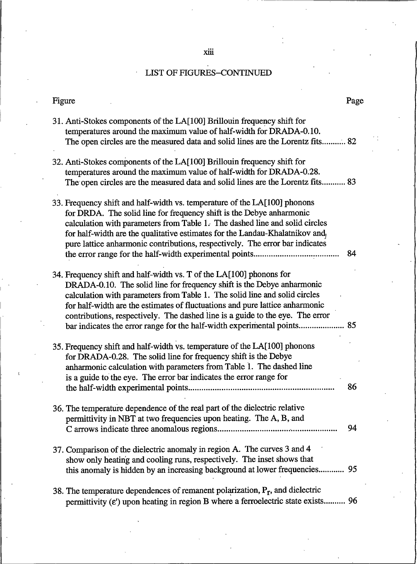xiii

# LIST OF FIGURES-CONTINUED

 $\hat{\boldsymbol{\theta}}$ 

| Figure                                                                                                                                                                                                                                                                                                                                                                                                                                                                  | Page |
|-------------------------------------------------------------------------------------------------------------------------------------------------------------------------------------------------------------------------------------------------------------------------------------------------------------------------------------------------------------------------------------------------------------------------------------------------------------------------|------|
| 31. Anti-Stokes components of the LA[100] Brillouin frequency shift for<br>temperatures around the maximum value of half-width for DRADA-0.10.<br>The open circles are the measured data and solid lines are the Lorentz fits 82                                                                                                                                                                                                                                        |      |
| 32. Anti-Stokes components of the LA[100] Brillouin frequency shift for<br>temperatures around the maximum value of half-width for DRADA-0.28.<br>The open circles are the measured data and solid lines are the Lorentz fits 83                                                                                                                                                                                                                                        |      |
| 33. Frequency shift and half-width vs. temperature of the LA[100] phonons<br>for DRDA. The solid line for frequency shift is the Debye anharmonic<br>calculation with parameters from Table 1. The dashed line and solid circles<br>for half-width are the qualitative estimates for the Landau-Khalatnikov and,<br>pure lattice anharmonic contributions, respectively. The error bar indicates                                                                        | 84   |
| 34. Frequency shift and half-width vs. T of the LA[100] phonons for<br>DRADA-0.10. The solid line for frequency shift is the Debye anharmonic<br>calculation with parameters from Table 1. The solid line and solid circles<br>for half-width are the estimates of fluctuations and pure lattice anharmonic<br>contributions, respectively. The dashed line is a guide to the eye. The error<br>bar indicates the error range for the half-width experimental points 85 |      |
| 35. Frequency shift and half-width vs. temperature of the LA[100] phonons<br>for DRADA-0.28. The solid line for frequency shift is the Debye<br>anharmonic calculation with parameters from Table 1. The dashed line<br>is a guide to the eye. The error bar indicates the error range for                                                                                                                                                                              | 86   |
| 36. The temperature dependence of the real part of the dielectric relative<br>permittivity in NBT at two frequencies upon heating. The A, B, and                                                                                                                                                                                                                                                                                                                        | 94   |
| 37. Comparison of the dielectric anomaly in region A. The curves 3 and 4<br>show only heating and cooling runs, respectively. The inset shows that<br>this anomaly is hidden by an increasing background at lower frequencies 95                                                                                                                                                                                                                                        |      |
| 38. The temperature dependences of remanent polarization, $P_r$ , and dielectric<br>permittivity ( $\varepsilon$ ') upon heating in region B where a ferroelectric state exists 96                                                                                                                                                                                                                                                                                      |      |

#### ĉ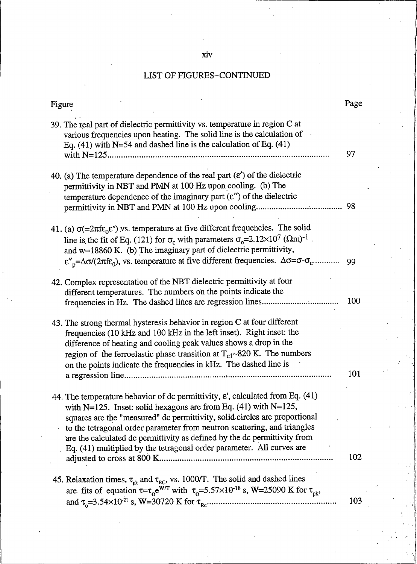## xiv

| Figure                                                                                                                                                                                                                                                                                                                                                                                                                                                                          | Page |
|---------------------------------------------------------------------------------------------------------------------------------------------------------------------------------------------------------------------------------------------------------------------------------------------------------------------------------------------------------------------------------------------------------------------------------------------------------------------------------|------|
| 39. The real part of dielectric permittivity vs. temperature in region C at<br>various frequencies upon heating. The solid line is the calculation of<br>Eq. $(41)$ with N=54 and dashed line is the calculation of Eq. $(41)$                                                                                                                                                                                                                                                  | 97   |
| 40. (a) The temperature dependence of the real part $(\varepsilon')$ of the dielectric<br>permittivity in NBT and PMN at 100 Hz upon cooling. (b) The<br>temperature dependence of the imaginary part $(\varepsilon'')$ of the dielectric                                                                                                                                                                                                                                       |      |
| 41. (a) $\sigma$ (=2 $\pi$ fε <sub>0</sub> $\varepsilon$ ") vs. temperature at five different frequencies. The solid<br>line is the fit of Eq. (121) for $\sigma_c$ with parameters $\sigma_c = 2.12 \times 10^7$ ( $\Omega$ m) <sup>-1</sup> .<br>and $w=18860$ K. (b) The imaginary part of dielectric permittivity,<br>$\varepsilon_{p}'' = \Delta \sigma / (2 \pi f \varepsilon_0)$ , vs. temperature at five different frequencies. $\Delta \sigma = \sigma - \sigma_c$    | 99   |
| 42. Complex representation of the NBT dielectric permittivity at four<br>different temperatures. The numbers on the points indicate the<br>frequencies in Hz. The dashed lines are regression lines                                                                                                                                                                                                                                                                             | 100  |
| 43. The strong thermal hysteresis behavior in region C at four different<br>frequencies (10 kHz and 100 kHz in the left inset). Right inset: the<br>difference of heating and cooling peak values shows a drop in the<br>region of the ferroelastic phase transition at $T_{c1}$ ~820 K. The numbers<br>on the points indicate the frequencies in kHz. The dashed line is                                                                                                       | 101  |
| 44. The temperature behavior of dc permittivity, $\varepsilon'$ , calculated from Eq. (41)<br>with N=125. Inset: solid hexagons are from Eq. $(41)$ with N=125,<br>squares are the "measured" dc permittivity, solid circles are proportional<br>to the tetragonal order parameter from neutron scattering, and triangles<br>are the calculated dc permittivity as defined by the dc permittivity from<br>Eq. (41) multiplied by the tetragonal order parameter. All curves are | 102  |
| 45. Relaxation times, $\tau_{pk}$ and $\tau_{RC}$ , vs. 1000/T. The solid and dashed lines<br>are fits of equation $\tau = \tau_0 e^{WT}$ with $\tau_0 = 5.57 \times 10^{-18}$ s, W=25090 K for $\tau_{\text{pk}}$ ,                                                                                                                                                                                                                                                            | 103  |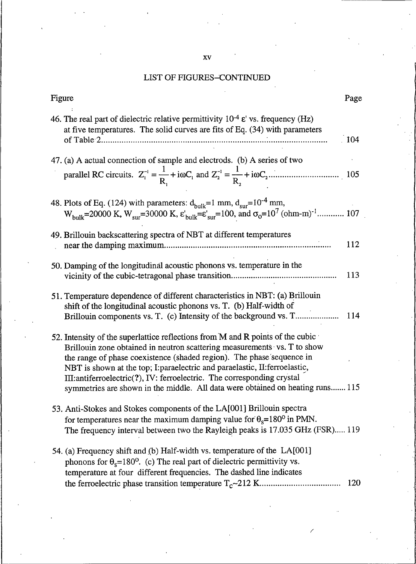| Figure                                                                                                                                                                                                                                                                                                                                                                                                                                                                         | Page       |
|--------------------------------------------------------------------------------------------------------------------------------------------------------------------------------------------------------------------------------------------------------------------------------------------------------------------------------------------------------------------------------------------------------------------------------------------------------------------------------|------------|
| 46. The real part of dielectric relative permittivity $10^{-4}$ $\varepsilon$ ' vs. frequency (Hz)<br>at five temperatures. The solid curves are fits of Eq. $(34)$ with parameters                                                                                                                                                                                                                                                                                            | 104        |
| 47. (a) A actual connection of sample and electrods. (b) A series of two                                                                                                                                                                                                                                                                                                                                                                                                       |            |
| 48. Plots of Eq. (124) with parameters: $d_{\text{bulk}}=1$ mm, $d_{\text{sur}}=10^{-4}$ mm,<br>$W_{bulk}$ =20000 K, $W_{sur}$ =30000 K, $\varepsilon'_{bulk}$ = $\varepsilon'_{sur}$ =100, and $\sigma_0$ =10 <sup>7</sup> (ohm-m) <sup>-1</sup> 107                                                                                                                                                                                                                          |            |
| 49. Brillouin backscattering spectra of NBT at different temperatures                                                                                                                                                                                                                                                                                                                                                                                                          | 112        |
| 50. Damping of the longitudinal acoustic phonons vs. temperature in the                                                                                                                                                                                                                                                                                                                                                                                                        | 113        |
| 51. Temperature dependence of different characteristics in NBT: (a) Brillouin<br>shift of the longitudinal acoustic phonons vs. T. (b) Half-width of<br>Brillouin components vs. T. (c) Intensity of the background vs. T                                                                                                                                                                                                                                                      | 114        |
| 52. Intensity of the superlattice reflections from M and R points of the cubic<br>Brillouin zone obtained in neutron scattering measurements vs. T to show<br>the range of phase coexistence (shaded region). The phase sequence in<br>NBT is shown at the top; I: paraelectric and paraelastic, II: ferroelastic,<br>III:antiferroelectric(?), IV: ferroelectric. The corresponding crystal<br>symmetries are shown in the middle. All data were obtained on heating runs 115 |            |
| 53. Anti-Stokes and Stokes components of the LA[001] Brillouin spectra<br>for temperatures near the maximum damping value for $\theta_s = 180^\circ$ in PMN<br>The frequency interval between two the Rayleigh peaks is 17.035 GHz (FSR) 119                                                                                                                                                                                                                                   |            |
| 54. (a) Frequency shift and (b) Half-width vs. temperature of the LA[001]<br>phonons for $\theta_s$ =180 <sup>o</sup> . (c) The real part of dielectric permittivity vs.<br>temperature at four different frequencies. The dashed line indicates                                                                                                                                                                                                                               | <b>120</b> |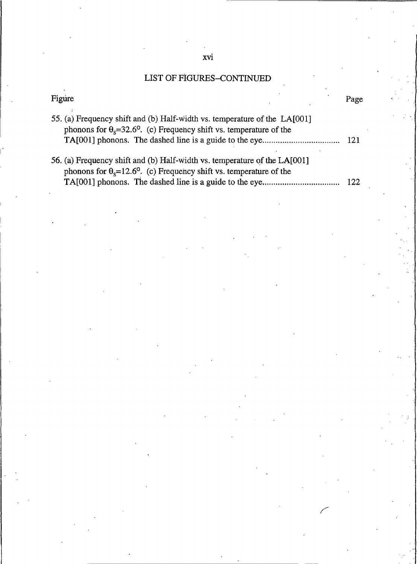| Figure                                                                                                                                                                | Page |
|-----------------------------------------------------------------------------------------------------------------------------------------------------------------------|------|
| 55. (a) Frequency shift and (b) Half-width vs. temperature of the LA[001]<br>phonons for $\theta_s = 32.6^\circ$ . (c) Frequency shift vs. temperature of the<br>-121 |      |
| 56. (a) Frequency shift and (b) Half-width vs. temperature of the LA[001]<br>phonons for $\theta_s = 12.6^\circ$ . (c) Frequency shift vs. temperature of the         | -122 |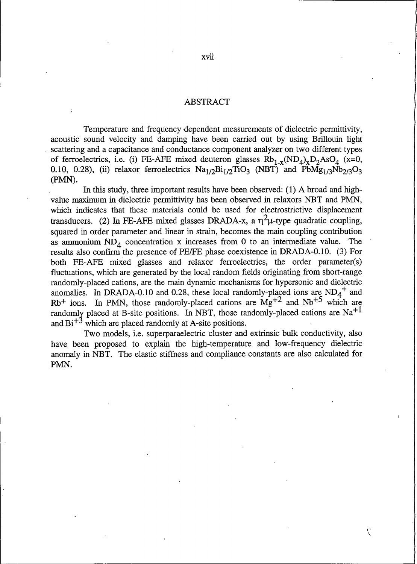### **ABSTRACT**

Temperature and frequency dependent measurements of dielectric permittivity, acoustic sound velocity and damping have been carried out by using Brillouin light scattering and a capacitance and conductance component analyzer on two different types of ferroelectrics, i.e. (i) FE-AFE mixed deuteron glasses  $Rb_{1-x}(ND_4)_xD_2AsO_4$  (x=0, 0.10, 0.28), (ii) relaxor ferroelectrics  $\text{Na}_{1/2}\text{Bi}_{1/2}\text{TiO}_3$  (NBT) and  $\text{PbMg}_{1/3}\text{Nb}_{2/3}\text{O}_3$ (PMN).

In this study, three important results have been observed: (1) A broad and highvalue maximum in dielectric permittivity has been observed in relaxors NBT and PMN, which indicates that these materials could be used for electrostrictive displacement transducers. (2) In FE-AFE mixed glasses DRADA-x, a  $\eta^2\mu$ -type quadratic coupling, squared in order parameter and linear in strain, becomes the main coupling contribution as ammonium  $ND_4$  concentration x increases from 0 to an intermediate value. The results also confirm the presence of PE/FE phase coexistence in DRADA-0.10. (3) For both FE-AFE mixed glasses and relaxor ferroelectrics, the order parameter(s) fluctuations, which are generated by the local random fields originating from short-range randomly-placed cations, are the main dynamic mechanisms for hypersonic and dielectric anomalies. In DRADA-0.10 and 0.28, these local randomly-placed ions are  $ND_4^+$  and  $Rb^+$  ions. In PMN, those randomly-placed cations are  $Mg^{+2}$  and  $Nb^{+5}$  which are randomly placed at B-site positions. In NBT, those randomly-placed cations are Na<sup>+1</sup> and  $Bi^{+3}$  which are placed randomly at A-site positions.

Two models, i.e. superparaelectric cluster and extrinsic bulk conductivity, also have been proposed to explain the high-temperature and low-frequency dielectric anomaly in NBT. The elastic stiffness and compliance constants are also calculated for PMN.

 $\mathcal{L}$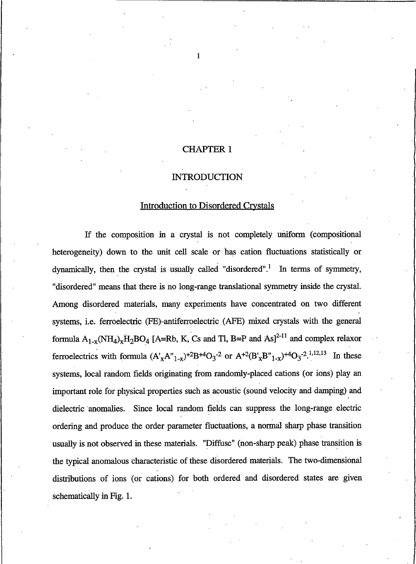### **CHAPTER 1**

 $\mathbf{1}$ 

### **INTRODUCTION**

#### **Introduction to Disordered Crystals**

If the composition in a crystal is not completely uniform (compositional heterogeneity) down to the unit cell scale or has cation fluctuations statistically or dynamically, then the crystal is usually called "disordered".<sup>1</sup> In terms of symmetry, "disordered" means that there is no long-range translational symmetry inside the crystal. Among disordered materials, many experiments have concentrated on two different systems, i.e. ferroelectric (FE)-antiferroelectric (AFE) mixed crystals with the general formula  $A_{1-x}(NH_4)_xH_2BO_4$  [A=Rb, K, Cs and Tl, B=P and As]<sup>2-11</sup> and complex relaxor ferroelectrics with formula  $(A'_{X}A''_{1-x})^{+2}B^{+4}O_3^{-2}$  or  $A^{+2}(B'_{X}B''_{1-x})^{+4}O_3^{-2}$ .<sup>1,12,13</sup> In these systems, local random fields originating from randomly-placed cations (or ions) play an important role for physical properties such as acoustic (sound velocity and damping) and dielectric anomalies. Since local random fields can suppress the long-range electric ordering and produce the order parameter fluctuations, a normal sharp phase transition usually is not observed in these materials. "Diffuse" (non-sharp peak) phase transition is the typical anomalous characteristic of these disordered materials. The two-dimensional distributions of ions (or cations) for both ordered and disordered states are given schematically in Fig. 1.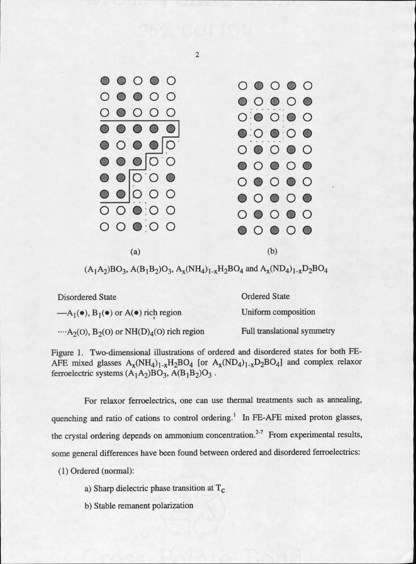

 $\overline{2}$ 

 $(A_1A_2)BO_3$ ,  $A(B_1B_2)O_3$ ,  $A_x(NH_4)_{1-x}H_2BO_4$  and  $A_x(ND_4)_{1-x}D_2BO_4$ 

| <b>Disordered State</b>                                             | <b>Ordered State</b>               |  |
|---------------------------------------------------------------------|------------------------------------|--|
| $-A_1(\bullet)$ , $B_1(\bullet)$ or $A(\bullet)$ rich region        | Uniform composition                |  |
| $A_2(0)$ , B <sub>2</sub> (0) or NH(D) <sub>4</sub> (0) rich region | <b>Full translational symmetry</b> |  |

Figure 1. Two-dimensional illustrations of ordered and disordered states for both FE-AFE mixed glasses  $A_x(NH_4)_{1-x}H_2BO_4$  [or  $A_x(ND_4)_{1-x}D_2BO_4$ ] and complex relaxor ferroelectric systems  $(A_1A_2)BO_3$ ,  $A(B_1B_2)O_3$ .

For relaxor ferroelectrics, one can use thermal treatments such as annealing, quenching and ratio of cations to control ordering.<sup>1</sup> In FE-AFE mixed proton glasses, the crystal ordering depends on ammonium concentration.<sup>2-7</sup> From experimental results, some general differences have been found between ordered and disordered ferroelectrics:

(1) Ordered (normal):

a) Sharp dielectric phase transition at  $T_c$ 

b) Stable remanent polarization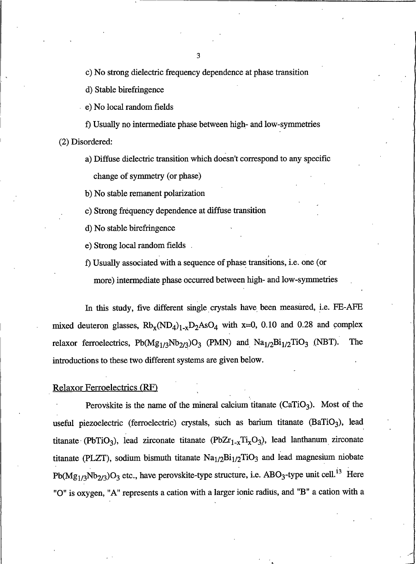c) No strong dielectric frequency dependence at phase transition

d) Stable birefringence

e) No local random fields

f) Usually no intermediate phase between high- and low-symmetries (2) Disordered:

a) Diffuse dielectric transition which doesn't correspond to any specific change of symmetry (or phase)

b) No stable remanent polarization

c) Strong frequency dependence at diffuse transition

d) No stable birefringence

e) Strong local random fields.

f) Usually associated with a sequence of phase transitions, i.e. one (or

more) intermediate phase occurred between high- and low-symmetries

In this study, five different single crystals have been measured, i.e. FE-AFE mixed deuteron glasses,  $Rb_x(ND_4)_{1-x}D_2AsO_4$  with x=0, 0.10 and 0.28 and complex relaxor ferroelectrics,  $Pb(Mg_{1/3}Nb_{2/3})O_3$  (PMN) and  $Na_{1/2}Bi_{1/2}TiO_3$  (NBT). The introductions to these two different systems are given below.

#### **Relaxor Ferroelectrics (RF)**

Perovskite is the name of the mineral calcium titanate  $(CaTiO<sub>3</sub>)$ . Most of the useful piezoelectric (ferroelectric) crystals, such as barium titanate (BaTiO<sub>3</sub>), lead titanate (PbTiO<sub>3</sub>), lead zirconate titanate (PbZ $r_{1-x}$ Ti<sub>x</sub>O<sub>3</sub>), lead lanthanum zirconate titanate (PLZT), sodium bismuth titanate  $Na<sub>1/2</sub>Bi<sub>1/2</sub>TiO<sub>3</sub>$  and lead magnesium niobate  $Pb(Mg_{1/3}Nb_{2/3})O_3$  etc., have perovskite-type structure, i.e. ABO<sub>3</sub>-type unit cell.<sup>13</sup> Here "O" is oxygen, "A" represents a cation with a larger ionic radius, and "B" a cation with a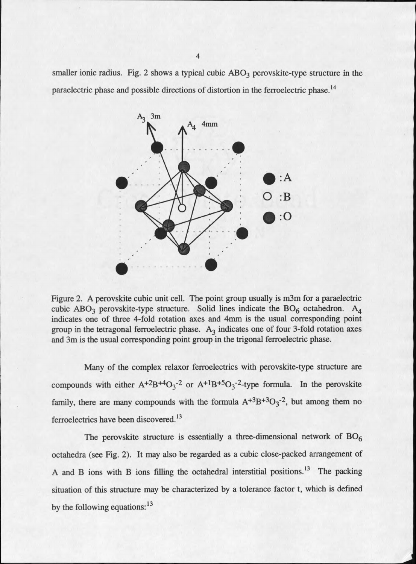smaller ionic radius. Fig. 2 shows a typical cubic  $ABO<sub>3</sub>$  perovskite-type structure in the paraelectric phase and possible directions of distortion in the ferroelectric phase.<sup>14</sup>



Figure 2. A perovskite cubic unit cell. The point group usually is m3m for a paraelectric cubic ABO<sub>3</sub> perovskite-type structure. Solid lines indicate the  $BO<sub>6</sub>$  octahedron. A<sub>4</sub> indicates one of three 4-fold rotation axes and 4mm is the usual corresponding point group in the tetragonal ferroelectric phase.  $A_3$  indicates one of four 3-fold rotation axes and 3m is the usual corresponding point group in the trigonal ferroelectric phase.

Many of the complex relaxor ferroelectrics with perovskite-type structure are compounds with either  $A^{+2}B^{+4}O_3^{-2}$  or  $A^{+1}B^{+5}O_3^{-2}$ -type formula. In the perovskite family, there are many compounds with the formula  $A^{+3}B^{+3}O_3^{-2}$ , but among them no ferroelectrics have been discovered.<sup>13</sup>

The perovskite structure is essentially a three-dimensional network of  $BO_6$ octahedra (see Fig. 2). It may also be regarded as a cubic close-packed arrangement of A and B ions with B ions filling the octahedral interstitial positions.<sup>13</sup> The packing situation of this structure may be characterized by a tolerance factor t, which is defined by the following equations:  $13$ 

 $\overline{4}$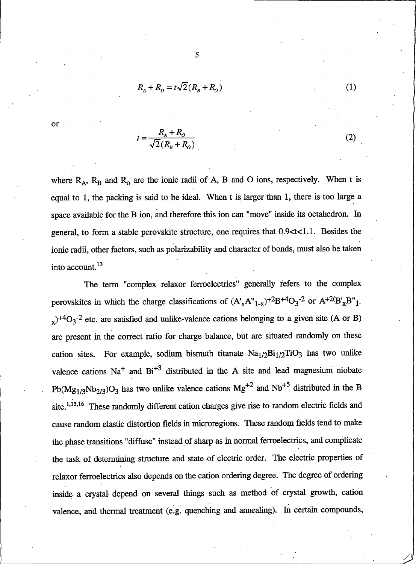$$
R_A + R_O = t\sqrt{2}(R_B + R_O)
$$

5

or

$$
= \frac{R_A + R_O}{\sqrt{2}(R_B + R_O)}
$$

where  $R_A$ ,  $R_B$  and  $R_O$  are the ionic radii of A, B and O ions, respectively. When t is equal to 1, the packing is said to be ideal. When t is larger than 1, there is too large a space available for the B ion, and therefore this ion can "move" inside its octahedron. In general, to form a stable perovskite structure, one requires that 0.9<t<1.1. Besides the ionic radii, other factors, such as polarizability and character of bonds, must also be taken into account.<sup>13</sup>

The term "complex relaxor ferroelectrics" generally refers to the complex perovskites in which the charge classifications of  $(A'_xA''_{1-x})^{+2}B^{+4}O_3^{-2}$  or  $A^{+2}(B'_xB''_{1-x})$  $_{x}$ <sup>+4</sup>O<sub>3</sub><sup>-2</sup> etc. are satisfied and unlike-valence cations belonging to a given site (A or B) are present in the correct ratio for charge balance, but are situated randomly on these cation sites. For example, sodium bismuth titanate  $Na<sub>1/2</sub>Bi<sub>1/2</sub>TiO<sub>3</sub>$  has two unlike valence cations  $Na<sup>+</sup>$  and  $Bi<sup>+3</sup>$  distributed in the A site and lead magnesium niobate  $Pb(Mg_{1/3}Nb_{2/3})O_3$  has two unlike valence cations  $Mg^{+2}$  and  $Nb^{+5}$  distributed in the B site.<sup>1,15,16</sup> These randomly different cation charges give rise to random electric fields and cause random elastic distortion fields in microregions. These random fields tend to make the phase transitions "diffuse" instead of sharp as in normal ferroelectrics, and complicate the task of determining structure and state of electric order. The electric properties of relaxor ferroelectrics also depends on the cation ordering degree. The degree of ordering inside a crystal depend on several things such as method of crystal growth, cation valence, and thermal treatment (e.g. quenching and annealing). In certain compounds,

 $(1)$ 

 $(2)$